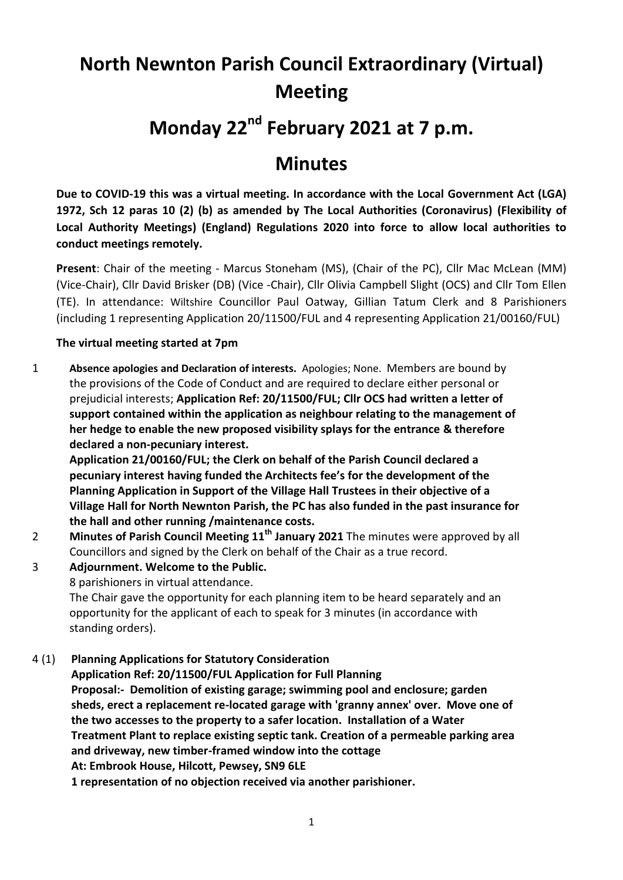# **North Newnton Parish Council Extraordinary (Virtual) Meeting**

# **Monday 22nd February 2021 at 7 p.m.**

# **Minutes**

**Due to COVID-19 this was a virtual meeting. In accordance with the Local Government Act (LGA) 1972, Sch 12 paras 10 (2) (b) as amended by The Local Authorities (Coronavirus) (Flexibility of Local Authority Meetings) (England) Regulations 2020 into force to allow local authorities to conduct meetings remotely.** 

**Present**: Chair of the meeting - Marcus Stoneham (MS), (Chair of the PC), Cllr Mac McLean (MM) (Vice-Chair), Cllr David Brisker (DB) (Vice -Chair), Cllr Olivia Campbell Slight (OCS) and Cllr Tom Ellen (TE). In attendance: Wiltshire Councillor Paul Oatway, Gillian Tatum Clerk and 8 Parishioners (including 1 representing Application 20/11500/FUL and 4 representing Application 21/00160/FUL)

## **The virtual meeting started at 7pm**

1 **Absence apologies and Declaration of interests.** Apologies; None. Members are bound by the provisions of the Code of Conduct and are required to declare either personal or prejudicial interests; **Application Ref: 20/11500/FUL; Cllr OCS had written a letter of support contained within the application as neighbour relating to the management of her hedge to enable the new proposed visibility splays for the entrance & therefore declared a non-pecuniary interest.**

**Application 21/00160/FUL; the Clerk on behalf of the Parish Council declared a pecuniary interest having funded the Architects fee's for the development of the Planning Application in Support of the Village Hall Trustees in their objective of a Village Hall for North Newnton Parish, the PC has also funded in the past insurance for the hall and other running /maintenance costs.**

- 2 **Minutes of Parish Council Meeting 11th January 2021** The minutes were approved by all Councillors and signed by the Clerk on behalf of the Chair as a true record.
- 3 **Adjournment. Welcome to the Public.** 8 parishioners in virtual attendance.

The Chair gave the opportunity for each planning item to be heard separately and an opportunity for the applicant of each to speak for 3 minutes (in accordance with standing orders).

4 (1) **Planning Applications for Statutory Consideration**

**Application Ref: 20/11500/FUL Application for Full Planning Proposal:- Demolition of existing garage; swimming pool and enclosure; garden sheds, erect a replacement re-located garage with 'granny annex' over. Move one of the two accesses to the property to a safer location. Installation of a Water Treatment Plant to replace existing septic tank. Creation of a permeable parking area and driveway, new timber-framed window into the cottage At: Embrook House, Hilcott, Pewsey, SN9 6LE 1 representation of no objection received via another parishioner.**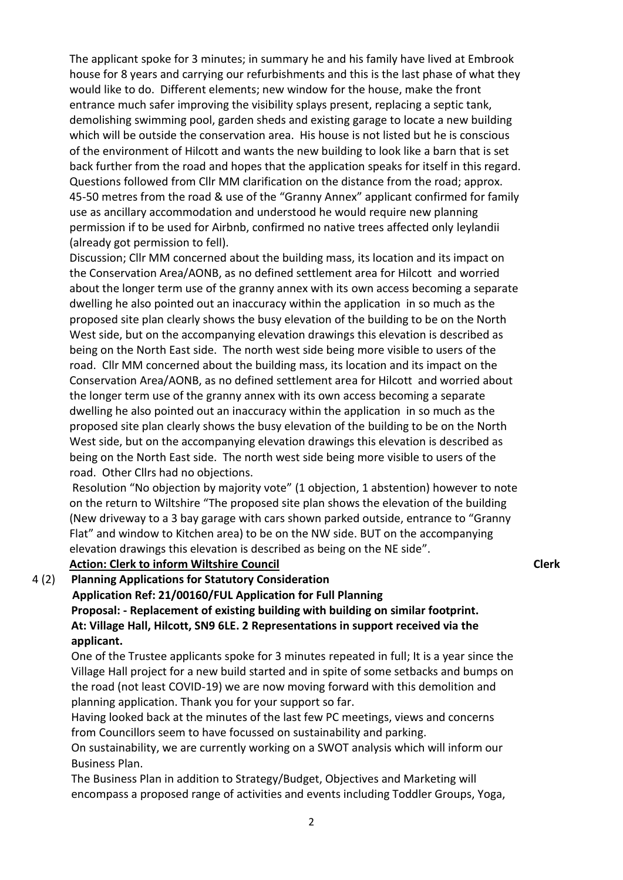The applicant spoke for 3 minutes; in summary he and his family have lived at Embrook house for 8 years and carrying our refurbishments and this is the last phase of what they would like to do. Different elements; new window for the house, make the front entrance much safer improving the visibility splays present, replacing a septic tank, demolishing swimming pool, garden sheds and existing garage to locate a new building which will be outside the conservation area. His house is not listed but he is conscious of the environment of Hilcott and wants the new building to look like a barn that is set back further from the road and hopes that the application speaks for itself in this regard. Questions followed from Cllr MM clarification on the distance from the road; approx. 45-50 metres from the road & use of the "Granny Annex" applicant confirmed for family use as ancillary accommodation and understood he would require new planning permission if to be used for Airbnb, confirmed no native trees affected only leylandii (already got permission to fell).

Discussion; Cllr MM concerned about the building mass, its location and its impact on the Conservation Area/AONB, as no defined settlement area for Hilcott and worried about the longer term use of the granny annex with its own access becoming a separate dwelling he also pointed out an inaccuracy within the application in so much as the proposed site plan clearly shows the busy elevation of the building to be on the North West side, but on the accompanying elevation drawings this elevation is described as being on the North East side. The north west side being more visible to users of the road. Cllr MM concerned about the building mass, its location and its impact on the Conservation Area/AONB, as no defined settlement area for Hilcott and worried about the longer term use of the granny annex with its own access becoming a separate dwelling he also pointed out an inaccuracy within the application in so much as the proposed site plan clearly shows the busy elevation of the building to be on the North West side, but on the accompanying elevation drawings this elevation is described as being on the North East side. The north west side being more visible to users of the road. Other Cllrs had no objections.

Resolution "No objection by majority vote" (1 objection, 1 abstention) however to note on the return to Wiltshire "The proposed site plan shows the elevation of the building (New driveway to a 3 bay garage with cars shown parked outside, entrance to "Granny Flat" and window to Kitchen area) to be on the NW side. BUT on the accompanying elevation drawings this elevation is described as being on the NE side".

#### **Action: Clerk to inform Wiltshire Council Clerk**

4 (2) **Planning Applications for Statutory Consideration Application Ref: 21/00160/FUL Application for Full Planning Proposal: - Replacement of existing building with building on similar footprint. At: Village Hall, Hilcott, SN9 6LE. 2 Representations in support received via the** 

**applicant.** 

One of the Trustee applicants spoke for 3 minutes repeated in full; It is a year since the Village Hall project for a new build started and in spite of some setbacks and bumps on the road (not least COVID-19) we are now moving forward with this demolition and planning application. Thank you for your support so far.

Having looked back at the minutes of the last few PC meetings, views and concerns from Councillors seem to have focussed on sustainability and parking.

On sustainability, we are currently working on a SWOT analysis which will inform our Business Plan.

The Business Plan in addition to Strategy/Budget, Objectives and Marketing will encompass a proposed range of activities and events including Toddler Groups, Yoga,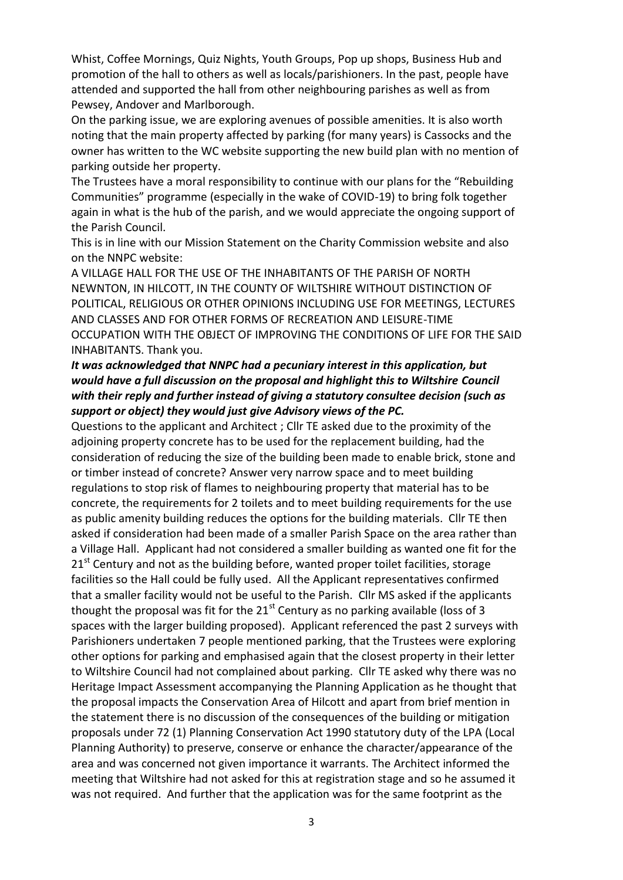Whist, Coffee Mornings, Quiz Nights, Youth Groups, Pop up shops, Business Hub and promotion of the hall to others as well as locals/parishioners. In the past, people have attended and supported the hall from other neighbouring parishes as well as from Pewsey, Andover and Marlborough.

On the parking issue, we are exploring avenues of possible amenities. It is also worth noting that the main property affected by parking (for many years) is Cassocks and the owner has written to the WC website supporting the new build plan with no mention of parking outside her property.

The Trustees have a moral responsibility to continue with our plans for the "Rebuilding Communities" programme (especially in the wake of COVID-19) to bring folk together again in what is the hub of the parish, and we would appreciate the ongoing support of the Parish Council.

This is in line with our Mission Statement on the Charity Commission website and also on the NNPC website:

A VILLAGE HALL FOR THE USE OF THE INHABITANTS OF THE PARISH OF NORTH NEWNTON, IN HILCOTT, IN THE COUNTY OF WILTSHIRE WITHOUT DISTINCTION OF POLITICAL, RELIGIOUS OR OTHER OPINIONS INCLUDING USE FOR MEETINGS, LECTURES AND CLASSES AND FOR OTHER FORMS OF RECREATION AND LEISURE-TIME OCCUPATION WITH THE OBJECT OF IMPROVING THE CONDITIONS OF LIFE FOR THE SAID INHABITANTS. Thank you.

### *It was acknowledged that NNPC had a pecuniary interest in this application, but would have a full discussion on the proposal and highlight this to Wiltshire Council with their reply and further instead of giving a statutory consultee decision (such as support or object) they would just give Advisory views of the PC.*

Questions to the applicant and Architect ; Cllr TE asked due to the proximity of the adjoining property concrete has to be used for the replacement building, had the consideration of reducing the size of the building been made to enable brick, stone and or timber instead of concrete? Answer very narrow space and to meet building regulations to stop risk of flames to neighbouring property that material has to be concrete, the requirements for 2 toilets and to meet building requirements for the use as public amenity building reduces the options for the building materials. Cllr TE then asked if consideration had been made of a smaller Parish Space on the area rather than a Village Hall. Applicant had not considered a smaller building as wanted one fit for the  $21<sup>st</sup>$  Century and not as the building before, wanted proper toilet facilities, storage facilities so the Hall could be fully used. All the Applicant representatives confirmed that a smaller facility would not be useful to the Parish. Cllr MS asked if the applicants thought the proposal was fit for the  $21<sup>st</sup>$  Century as no parking available (loss of 3 spaces with the larger building proposed). Applicant referenced the past 2 surveys with Parishioners undertaken 7 people mentioned parking, that the Trustees were exploring other options for parking and emphasised again that the closest property in their letter to Wiltshire Council had not complained about parking. Cllr TE asked why there was no Heritage Impact Assessment accompanying the Planning Application as he thought that the proposal impacts the Conservation Area of Hilcott and apart from brief mention in the statement there is no discussion of the consequences of the building or mitigation proposals under 72 (1) Planning Conservation Act 1990 statutory duty of the LPA (Local Planning Authority) to preserve, conserve or enhance the character/appearance of the area and was concerned not given importance it warrants. The Architect informed the meeting that Wiltshire had not asked for this at registration stage and so he assumed it was not required. And further that the application was for the same footprint as the